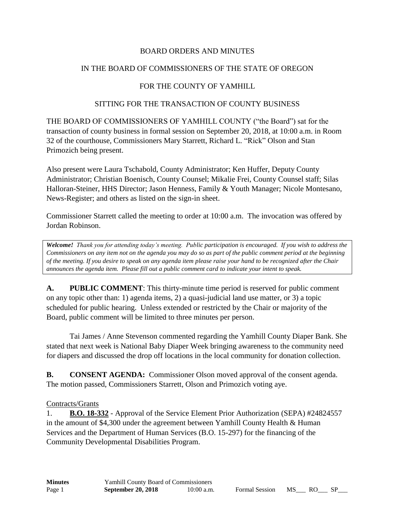### BOARD ORDERS AND MINUTES

### IN THE BOARD OF COMMISSIONERS OF THE STATE OF OREGON

### FOR THE COUNTY OF YAMHILL

#### SITTING FOR THE TRANSACTION OF COUNTY BUSINESS

THE BOARD OF COMMISSIONERS OF YAMHILL COUNTY ("the Board") sat for the transaction of county business in formal session on September 20, 2018, at 10:00 a.m. in Room 32 of the courthouse, Commissioners Mary Starrett, Richard L. "Rick" Olson and Stan Primozich being present.

Also present were Laura Tschabold, County Administrator; Ken Huffer, Deputy County Administrator; Christian Boenisch, County Counsel; Mikalie Frei, County Counsel staff; Silas Halloran-Steiner, HHS Director; Jason Henness, Family & Youth Manager; Nicole Montesano, News-Register; and others as listed on the sign-in sheet.

Commissioner Starrett called the meeting to order at 10:00 a.m. The invocation was offered by Jordan Robinson.

*Welcome! Thank you for attending today's meeting. Public participation is encouraged. If you wish to address the Commissioners on any item not on the agenda you may do so as part of the public comment period at the beginning of the meeting. If you desire to speak on any agenda item please raise your hand to be recognized after the Chair announces the agenda item. Please fill out a public comment card to indicate your intent to speak.*

**A. PUBLIC COMMENT**: This thirty-minute time period is reserved for public comment on any topic other than: 1) agenda items, 2) a quasi-judicial land use matter, or 3) a topic scheduled for public hearing. Unless extended or restricted by the Chair or majority of the Board, public comment will be limited to three minutes per person.

Tai James / Anne Stevenson commented regarding the Yamhill County Diaper Bank. She stated that next week is National Baby Diaper Week bringing awareness to the community need for diapers and discussed the drop off locations in the local community for donation collection.

**B. CONSENT AGENDA:** Commissioner Olson moved approval of the consent agenda. The motion passed, Commissioners Starrett, Olson and Primozich voting aye.

#### Contracts/Grants

1. **B.O. 18-332** - Approval of the Service Element Prior Authorization (SEPA) #24824557 in the amount of \$4,300 under the agreement between Yamhill County Health & Human Services and the Department of Human Services (B.O. 15-297) for the financing of the Community Developmental Disabilities Program.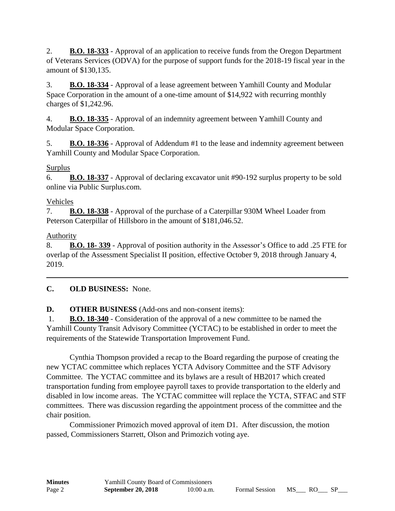2. **B.O. 18-333** - Approval of an application to receive funds from the Oregon Department of Veterans Services (ODVA) for the purpose of support funds for the 2018-19 fiscal year in the amount of \$130,135.

3. **B.O. 18-334** - Approval of a lease agreement between Yamhill County and Modular Space Corporation in the amount of a one-time amount of \$14,922 with recurring monthly charges of \$1,242.96.

4. **B.O. 18-335** - Approval of an indemnity agreement between Yamhill County and Modular Space Corporation.

5. **B.O. 18-336** - Approval of Addendum #1 to the lease and indemnity agreement between Yamhill County and Modular Space Corporation.

## Surplus

6. **B.O. 18-337** - Approval of declaring excavator unit #90-192 surplus property to be sold online via Public Surplus.com.

## Vehicles

7. **B.O. 18-338** - Approval of the purchase of a Caterpillar 930M Wheel Loader from Peterson Caterpillar of Hillsboro in the amount of \$181,046.52.

# Authority

8. **B.O. 18- 339** - Approval of position authority in the Assessor's Office to add .25 FTE for overlap of the Assessment Specialist II position, effective October 9, 2018 through January 4, 2019.

# **C. OLD BUSINESS:** None.

# **D. OTHER BUSINESS** (Add-ons and non-consent items):

1. **B.O. 18-340** - Consideration of the approval of a new committee to be named the Yamhill County Transit Advisory Committee (YCTAC) to be established in order to meet the requirements of the Statewide Transportation Improvement Fund.

Cynthia Thompson provided a recap to the Board regarding the purpose of creating the new YCTAC committee which replaces YCTA Advisory Committee and the STF Advisory Committee. The YCTAC committee and its bylaws are a result of HB2017 which created transportation funding from employee payroll taxes to provide transportation to the elderly and disabled in low income areas. The YCTAC committee will replace the YCTA, STFAC and STF committees. There was discussion regarding the appointment process of the committee and the chair position.

Commissioner Primozich moved approval of item D1. After discussion, the motion passed, Commissioners Starrett, Olson and Primozich voting aye.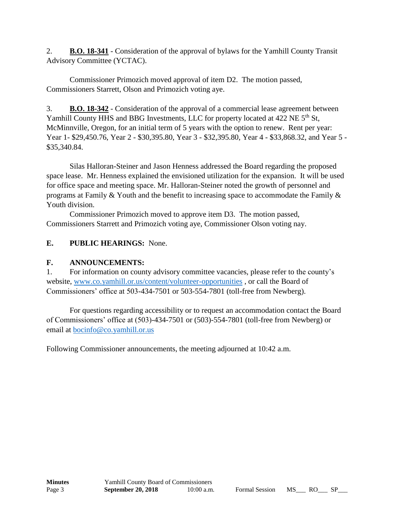2. **B.O. 18-341** - Consideration of the approval of bylaws for the Yamhill County Transit Advisory Committee (YCTAC).

Commissioner Primozich moved approval of item D2. The motion passed, Commissioners Starrett, Olson and Primozich voting aye.

3. **B.O. 18-342** - Consideration of the approval of a commercial lease agreement between Yamhill County HHS and BBG Investments, LLC for property located at 422 NE 5<sup>th</sup> St, McMinnville, Oregon, for an initial term of 5 years with the option to renew. Rent per year: Year 1- \$29,450.76, Year 2 - \$30,395.80, Year 3 - \$32,395.80, Year 4 - \$33,868.32, and Year 5 - \$35,340.84.

Silas Halloran-Steiner and Jason Henness addressed the Board regarding the proposed space lease. Mr. Henness explained the envisioned utilization for the expansion. It will be used for office space and meeting space. Mr. Halloran-Steiner noted the growth of personnel and programs at Family & Youth and the benefit to increasing space to accommodate the Family & Youth division.

Commissioner Primozich moved to approve item D3. The motion passed, Commissioners Starrett and Primozich voting aye, Commissioner Olson voting nay.

## **E. PUBLIC HEARINGS:** None.

### **F. ANNOUNCEMENTS:**

1. For information on county advisory committee vacancies, please refer to the county's website, [www.co.yamhill.or.us/content/volunteer-opportunities](http://www.co.yamhill.or.us/content/volunteer-opportunities) , or call the Board of Commissioners' office at 503-434-7501 or 503-554-7801 (toll-free from Newberg).

For questions regarding accessibility or to request an accommodation contact the Board of Commissioners' office at (503)-434-7501 or (503)-554-7801 (toll-free from Newberg) or email at [bocinfo@co.yamhill.or.us](mailto:bocinfo@co.yamhill.or.us)

Following Commissioner announcements, the meeting adjourned at 10:42 a.m.